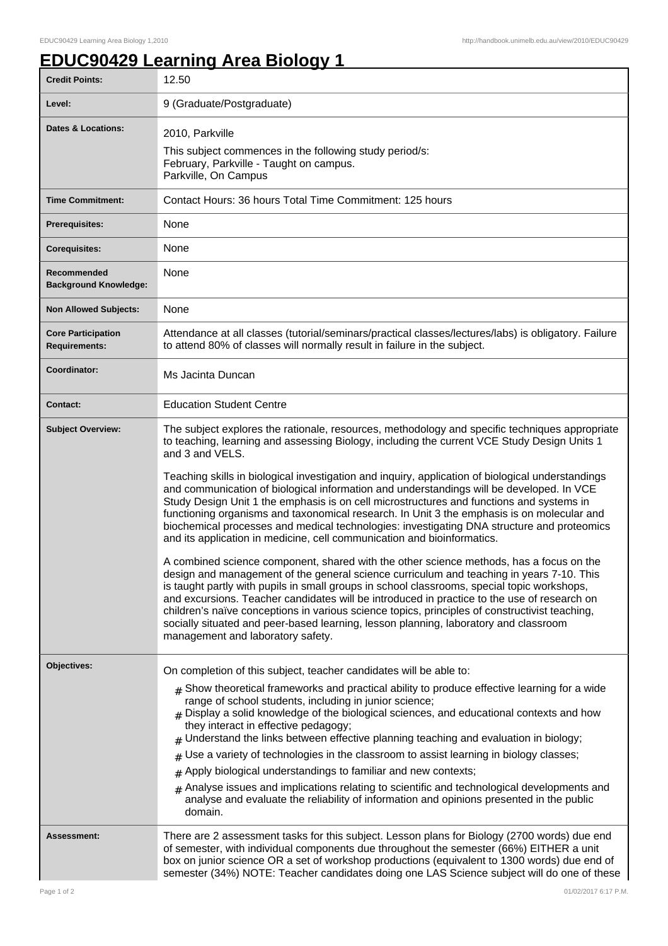## **EDUC90429 Learning Area Biology 1**

| <b>Credit Points:</b>                             | 12.50                                                                                                                                                                                                                                                                                                                                                                                                                                                                                                                                                                                                                                                                                                                                                                                                                                                                                                                                                                                                                                                                                                                                                                                                                                                                                                                                                                                                    |
|---------------------------------------------------|----------------------------------------------------------------------------------------------------------------------------------------------------------------------------------------------------------------------------------------------------------------------------------------------------------------------------------------------------------------------------------------------------------------------------------------------------------------------------------------------------------------------------------------------------------------------------------------------------------------------------------------------------------------------------------------------------------------------------------------------------------------------------------------------------------------------------------------------------------------------------------------------------------------------------------------------------------------------------------------------------------------------------------------------------------------------------------------------------------------------------------------------------------------------------------------------------------------------------------------------------------------------------------------------------------------------------------------------------------------------------------------------------------|
| Level:                                            | 9 (Graduate/Postgraduate)                                                                                                                                                                                                                                                                                                                                                                                                                                                                                                                                                                                                                                                                                                                                                                                                                                                                                                                                                                                                                                                                                                                                                                                                                                                                                                                                                                                |
| <b>Dates &amp; Locations:</b>                     | 2010, Parkville<br>This subject commences in the following study period/s:<br>February, Parkville - Taught on campus.<br>Parkville, On Campus                                                                                                                                                                                                                                                                                                                                                                                                                                                                                                                                                                                                                                                                                                                                                                                                                                                                                                                                                                                                                                                                                                                                                                                                                                                            |
| <b>Time Commitment:</b>                           | Contact Hours: 36 hours Total Time Commitment: 125 hours                                                                                                                                                                                                                                                                                                                                                                                                                                                                                                                                                                                                                                                                                                                                                                                                                                                                                                                                                                                                                                                                                                                                                                                                                                                                                                                                                 |
| Prerequisites:                                    | None                                                                                                                                                                                                                                                                                                                                                                                                                                                                                                                                                                                                                                                                                                                                                                                                                                                                                                                                                                                                                                                                                                                                                                                                                                                                                                                                                                                                     |
| <b>Corequisites:</b>                              | None                                                                                                                                                                                                                                                                                                                                                                                                                                                                                                                                                                                                                                                                                                                                                                                                                                                                                                                                                                                                                                                                                                                                                                                                                                                                                                                                                                                                     |
| Recommended<br><b>Background Knowledge:</b>       | None                                                                                                                                                                                                                                                                                                                                                                                                                                                                                                                                                                                                                                                                                                                                                                                                                                                                                                                                                                                                                                                                                                                                                                                                                                                                                                                                                                                                     |
| <b>Non Allowed Subjects:</b>                      | None                                                                                                                                                                                                                                                                                                                                                                                                                                                                                                                                                                                                                                                                                                                                                                                                                                                                                                                                                                                                                                                                                                                                                                                                                                                                                                                                                                                                     |
| <b>Core Participation</b><br><b>Requirements:</b> | Attendance at all classes (tutorial/seminars/practical classes/lectures/labs) is obligatory. Failure<br>to attend 80% of classes will normally result in failure in the subject.                                                                                                                                                                                                                                                                                                                                                                                                                                                                                                                                                                                                                                                                                                                                                                                                                                                                                                                                                                                                                                                                                                                                                                                                                         |
| Coordinator:                                      | Ms Jacinta Duncan                                                                                                                                                                                                                                                                                                                                                                                                                                                                                                                                                                                                                                                                                                                                                                                                                                                                                                                                                                                                                                                                                                                                                                                                                                                                                                                                                                                        |
| <b>Contact:</b>                                   | <b>Education Student Centre</b>                                                                                                                                                                                                                                                                                                                                                                                                                                                                                                                                                                                                                                                                                                                                                                                                                                                                                                                                                                                                                                                                                                                                                                                                                                                                                                                                                                          |
| <b>Subject Overview:</b>                          | The subject explores the rationale, resources, methodology and specific techniques appropriate<br>to teaching, learning and assessing Biology, including the current VCE Study Design Units 1<br>and 3 and VELS.<br>Teaching skills in biological investigation and inquiry, application of biological understandings<br>and communication of biological information and understandings will be developed. In VCE<br>Study Design Unit 1 the emphasis is on cell microstructures and functions and systems in<br>functioning organisms and taxonomical research. In Unit 3 the emphasis is on molecular and<br>biochemical processes and medical technologies: investigating DNA structure and proteomics<br>and its application in medicine, cell communication and bioinformatics.<br>A combined science component, shared with the other science methods, has a focus on the<br>design and management of the general science curriculum and teaching in years 7-10. This<br>is taught partly with pupils in small groups in school classrooms, special topic workshops,<br>and excursions. Teacher candidates will be introduced in practice to the use of research on<br>children's naïve conceptions in various science topics, principles of constructivist teaching,<br>socially situated and peer-based learning, lesson planning, laboratory and classroom<br>management and laboratory safety. |
| Objectives:<br><b>Assessment:</b>                 | On completion of this subject, teacher candidates will be able to:<br>$_{\#}$ Show theoretical frameworks and practical ability to produce effective learning for a wide<br>range of school students, including in junior science;<br>$#$ Display a solid knowledge of the biological sciences, and educational contexts and how<br>they interact in effective pedagogy;<br>Understand the links between effective planning teaching and evaluation in biology;<br>Use a variety of technologies in the classroom to assist learning in biology classes;<br>#<br>Apply biological understandings to familiar and new contexts;<br>$\#$<br>Analyse issues and implications relating to scientific and technological developments and<br>$\pm$<br>analyse and evaluate the reliability of information and opinions presented in the public<br>domain.<br>There are 2 assessment tasks for this subject. Lesson plans for Biology (2700 words) due end                                                                                                                                                                                                                                                                                                                                                                                                                                                      |
|                                                   | of semester, with individual components due throughout the semester (66%) EITHER a unit<br>box on junior science OR a set of workshop productions (equivalent to 1300 words) due end of<br>semester (34%) NOTE: Teacher candidates doing one LAS Science subject will do one of these                                                                                                                                                                                                                                                                                                                                                                                                                                                                                                                                                                                                                                                                                                                                                                                                                                                                                                                                                                                                                                                                                                                    |